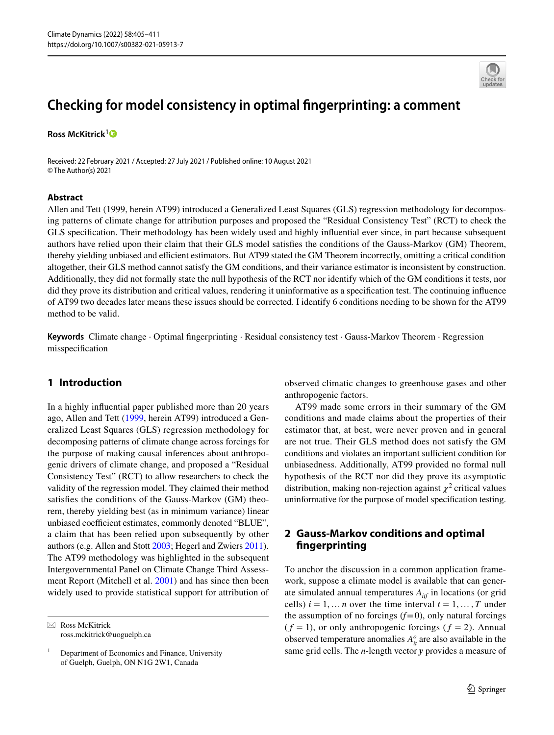# **Checking for model consistency in optimal fngerprinting: a comment**

**Ross McKitrick[1](http://orcid.org/0000-0002-2257-0675)**

Received: 22 February 2021 / Accepted: 27 July 2021 / Published online: 10 August 2021 © The Author(s) 2021

#### **Abstract**

Allen and Tett (1999, herein AT99) introduced a Generalized Least Squares (GLS) regression methodology for decomposing patterns of climate change for attribution purposes and proposed the "Residual Consistency Test" (RCT) to check the GLS specifcation. Their methodology has been widely used and highly infuential ever since, in part because subsequent authors have relied upon their claim that their GLS model satisfes the conditions of the Gauss-Markov (GM) Theorem, thereby yielding unbiased and efficient estimators. But AT99 stated the GM Theorem incorrectly, omitting a critical condition altogether, their GLS method cannot satisfy the GM conditions, and their variance estimator is inconsistent by construction. Additionally, they did not formally state the null hypothesis of the RCT nor identify which of the GM conditions it tests, nor did they prove its distribution and critical values, rendering it uninformative as a specifcation test. The continuing infuence of AT99 two decades later means these issues should be corrected. I identify 6 conditions needing to be shown for the AT99 method to be valid.

**Keywords** Climate change · Optimal fngerprinting · Residual consistency test · Gauss-Markov Theorem · Regression misspecifcation

### **1 Introduction**

In a highly infuential paper published more than 20 years ago, Allen and Tett [\(1999,](#page-5-0) herein AT99) introduced a Generalized Least Squares (GLS) regression methodology for decomposing patterns of climate change across forcings for the purpose of making causal inferences about anthropogenic drivers of climate change, and proposed a "Residual Consistency Test" (RCT) to allow researchers to check the validity of the regression model. They claimed their method satisfes the conditions of the Gauss-Markov (GM) theorem, thereby yielding best (as in minimum variance) linear unbiased coefficient estimates, commonly denoted "BLUE", a claim that has been relied upon subsequently by other authors (e.g. Allen and Stott [2003;](#page-5-1) Hegerl and Zwiers [2011](#page-5-2)). The AT99 methodology was highlighted in the subsequent Intergovernmental Panel on Climate Change Third Assessment Report (Mitchell et al. [2001\)](#page-5-3) and has since then been widely used to provide statistical support for attribution of

 $\boxtimes$  Ross McKitrick ross.mckitrick@uoguelph.ca observed climatic changes to greenhouse gases and other anthropogenic factors.

AT99 made some errors in their summary of the GM conditions and made claims about the properties of their estimator that, at best, were never proven and in general are not true. Their GLS method does not satisfy the GM conditions and violates an important sufficient condition for unbiasedness. Additionally, AT99 provided no formal null hypothesis of the RCT nor did they prove its asymptotic distribution, making non-rejection against  $\chi^2$  critical values uninformative for the purpose of model specifcation testing.

## **2 Gauss‑Markov conditions and optimal fngerprinting**

To anchor the discussion in a common application framework, suppose a climate model is available that can generate simulated annual temperatures *Aitf* in locations (or grid cells)  $i = 1, \dots n$  over the time interval  $t = 1, \dots, T$  under the assumption of no forcings  $(f=0)$ , only natural forcings  $(f = 1)$ , or only anthropogenic forcings  $(f = 2)$ . Annual observed temperature anomalies  $A_{it}^o$  are also available in the same grid cells. The *n*-length vector *y* provides a measure of



 $1$  Department of Economics and Finance, University of Guelph, Guelph, ON N1G 2W1, Canada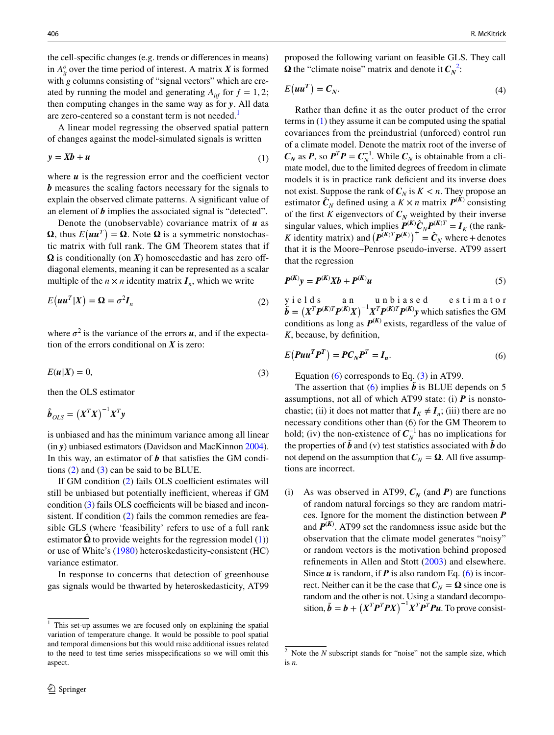the cell-specifc changes (e.g. trends or diferences in means) in  $A_{it}^o$  over the time period of interest. A matrix *X* is formed with *g* columns consisting of "signal vectors" which are created by running the model and generating  $A_{\text{inf}}$  for  $f = 1, 2$ ; then computing changes in the same way as for *y*. All data are zero-centered so a constant term is not needed.<sup>[1](#page-1-0)</sup>

A linear model regressing the observed spatial pattern of changes against the model-simulated signals is written

$$
y = Xb + u \tag{1}
$$

where  $\boldsymbol{u}$  is the regression error and the coefficient vector *b* measures the scaling factors necessary for the signals to explain the observed climate patterns. A signifcant value of an element of *b* implies the associated signal is "detected".

Denote the (unobservable) covariance matrix of *u* as  $\Omega$ , thus  $E(uu^T) = \Omega$ . Note  $\Omega$  is a symmetric nonstochastic matrix with full rank. The GM Theorem states that if  $\Omega$  is conditionally (on  $X$ ) homoscedastic and has zero offdiagonal elements, meaning it can be represented as a scalar multiple of the  $n \times n$  identity matrix  $I_n$ , which we write

$$
E(uu^T|X) = \Omega = \sigma^2 I_n
$$
 (2)

where  $\sigma^2$  is the variance of the errors  $\boldsymbol{u}$ , and if the expectation of the errors conditional on *X* is zero:

$$
E(u|X) = 0,\t\t(3)
$$

then the OLS estimator

$$
\hat{\boldsymbol{b}}_{OLS} = \left(\boldsymbol{X}^T\boldsymbol{X}\right)^{-1}\boldsymbol{X}^T\boldsymbol{y}
$$

is unbiased and has the minimum variance among all linear (in *y*) unbiased estimators (Davidson and MacKinnon [2004](#page-5-4)). In this way, an estimator of *b* that satisfes the GM conditions ([2\)](#page-1-1) and ([3\)](#page-1-2) can be said to be BLUE.

If GM condition  $(2)$  $(2)$  fails OLS coefficient estimates will still be unbiased but potentially inefficient, whereas if GM condition  $(3)$  $(3)$  fails OLS coefficients will be biased and incon-sistent. If condition ([2\)](#page-1-1) fails the common remedies are feasible GLS (where 'feasibility' refers to use of a full rank estimator  $\hat{\Omega}$  to provide weights for the regression model [\(1](#page-1-3))) or use of White's ([1980\)](#page-6-0) heteroskedasticity-consistent (HC) variance estimator.

In response to concerns that detection of greenhouse gas signals would be thwarted by heteroskedasticity, AT99 proposed the following variant on feasible GLS. They call  $\Omega$  the "climate noise" matrix and denote it  $C_N^2$  $C_N^2$ :

$$
E(uu^T) = C_N.
$$
 (4)

<span id="page-1-3"></span>Rather than defne it as the outer product of the error terms in ([1\)](#page-1-3) they assume it can be computed using the spatial covariances from the preindustrial (unforced) control run of a climate model. Denote the matrix root of the inverse of  $C_N$  as *P*, so  $P^T P = C_N^{-1}$ . While  $C_N$  is obtainable from a climate model, due to the limited degrees of freedom in climate models it is in practice rank deficient and its inverse does not exist. Suppose the rank of  $C_N$  is  $K < n$ . They propose an estimator  $\hat{C}_N$  defined using a  $\hat{K} \times n$  matrix  $P^{(K)}$  consisting of the first *K* eigenvectors of  $C_N$  weighted by their inverse singular values, which implies  $P^{(K)}\hat{C}_N P^{(K)T} = I_K$  (the rank-*K* identity matrix) and  $(P^{(K)T}P^{(K)})^+ = \hat{C}_N$  where + denotes that it is the Moore–Penrose pseudo-inverse. AT99 assert that the regression

<span id="page-1-6"></span>
$$
P^{(K)}y = P^{(K)}Xb + P^{(K)}u
$$
 (5)

<span id="page-1-1"></span>yields an unbiased estimator  $\tilde{b} = (X^T P^{(K)T} P^{(K)} X)^{-1} X^T P^{(K)T} P^{(K)} y$  which satisfies the GM conditions as long as  $P^{(K)}$  exists, regardless of the value of *K*, because, by defnition,

<span id="page-1-2"></span>
$$
E(Puu^T P^T) = PC_N P^T = I_n.
$$
\n<sup>(6)</sup>

<span id="page-1-5"></span>Equation ([6\)](#page-1-5) corresponds to Eq. ([3\)](#page-1-2) in AT99.

The assertion that ([6](#page-1-5)) implies  $\vec{b}$  is BLUE depends on 5 assumptions, not all of which AT99 state: (i)  $\vec{P}$  is nonstochastic; (ii) it does not matter that  $I_K \neq I_n$ ; (iii) there are no necessary conditions other than (6) for the GM Theorem to hold; (iv) the non-existence of  $C_N^{-1}$  has no implications for the properties of  $\tilde{b}$  and (v) test statistics associated with  $\tilde{b}$  do not depend on the assumption that  $C_N = \Omega$ . All five assumptions are incorrect.

(i) As was observed in AT99,  $C_N$  (and *P*) are functions of random natural forcings so they are random matrices. Ignore for the moment the distinction between *P* and  $P^{(K)}$ . AT99 set the randomness issue aside but the observation that the climate model generates "noisy" or random vectors is the motivation behind proposed refnements in Allen and Stott ([2003](#page-5-1)) and elsewhere. Since *u* is random, if *P* is also random Eq. ([6\)](#page-1-5) is incorrect. Neither can it be the case that  $C_N = \Omega$  since one is random and the other is not. Using a standard decomposition,  $\tilde{b} = b + (X^T P^T P X)^{-1} X^T P^T P u$ . To prove consist-

<span id="page-1-0"></span> $1$  This set-up assumes we are focused only on explaining the spatial variation of temperature change. It would be possible to pool spatial and temporal dimensions but this would raise additional issues related to the need to test time series misspecifcations so we will omit this aspect.

<span id="page-1-4"></span><sup>&</sup>lt;sup>2</sup> Note the *N* subscript stands for "noise" not the sample size, which is *n*.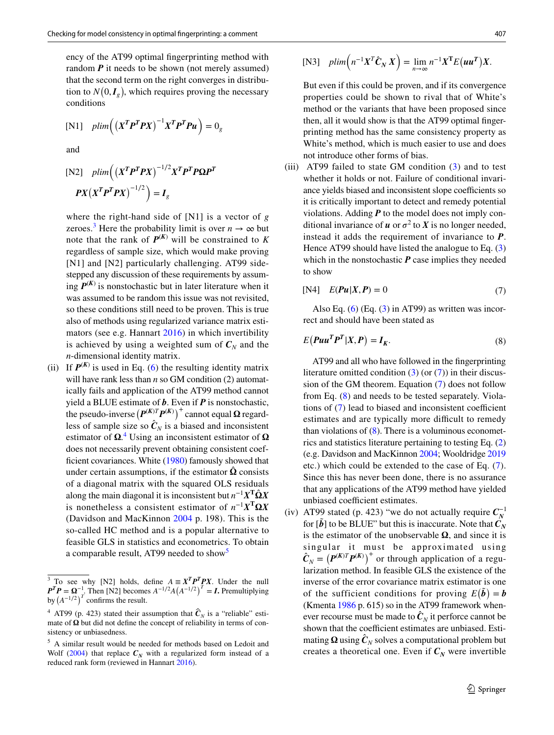ency of the AT99 optimal fngerprinting method with random *P* it needs to be shown (not merely assumed) that the second term on the right converges in distribution to  $N(0, I_g)$ , which requires proving the necessary conditions

$$
[N1] \quad plim\Big(\big(X^T P^T P X\big)^{-1} X^T P^T P u\Big) = 0_g
$$

and

$$
\begin{aligned} \text{[N2]} \quad plim\Big( \left( X^T \mathbf{P}^T \mathbf{P} X \right)^{-1/2} X^T \mathbf{P}^T \mathbf{P} \mathbf{\Omega} \mathbf{P}^T \\ \mathbf{P} X \left( X^T \mathbf{P}^T \mathbf{P} X \right)^{-1/2} \Big) &= \mathbf{I}_g \end{aligned}
$$

where the right-hand side of [N1] is a vector of *g* zeroes.<sup>[3](#page-2-0)</sup> Here the probability limit is over  $n \to \infty$  but note that the rank of  $P^{(K)}$  will be constrained to K regardless of sample size, which would make proving [N1] and [N2] particularly challenging. AT99 sidestepped any discussion of these requirements by assuming  $P^{(K)}$  is nonstochastic but in later literature when it was assumed to be random this issue was not revisited, so these conditions still need to be proven. This is true also of methods using regularized variance matrix estimators (see e.g. Hannart [2016\)](#page-5-5) in which invertibility is achieved by using a weighted sum of  $C_N$  and the *n*-dimensional identity matrix.

(ii) If  $P^{(K)}$  is used in Eq. ([6](#page-1-5)) the resulting identity matrix will have rank less than *n* so GM condition (2) automatically fails and application of the AT99 method cannot yield a BLUE estimate of *b*. Even if *P* is nonstochastic, the pseudo-inverse  $(P^{(K)T}P^{(K)})^+$  cannot equal  $\Omega$  regardless of sample size so  $\hat{C}_N$  is a biased and inconsistent estimator of  $\Omega$ <sup>[4](#page-2-1)</sup>. Using an inconsistent estimator of  $\Omega$ does not necessarily prevent obtaining consistent coef-ficient covariances. White [\(1980](#page-6-0)) famously showed that under certain assumptions, if the estimator  $\Omega$  consists of a diagonal matrix with the squared OLS residuals along the main diagonal it is inconsistent but  $n^{-1}X^T\hat{\Omega}X$ is nonetheless a consistent estimator of  $n^{-1}X^T\Omega X$ (Davidson and MacKinnon [2004](#page-5-4) p. 198). This is the so-called HC method and is a popular alternative to feasible GLS in statistics and econometrics. To obtain a comparable result, AT99 needed to show<sup>[5](#page-2-2)</sup>

$$
[\text{N3}] \quad plim\Big(n^{-1}X^T\hat{C}_N X\Big) = \lim_{n \to \infty} n^{-1}X^T E(uu^T)X.
$$

But even if this could be proven, and if its convergence properties could be shown to rival that of White's method or the variants that have been proposed since then, all it would show is that the AT99 optimal fngerprinting method has the same consistency property as White's method, which is much easier to use and does not introduce other forms of bias.

(iii) AT99 failed to state GM condition  $(3)$  $(3)$  $(3)$  and to test whether it holds or not. Failure of conditional invariance yields biased and inconsistent slope coefficients so it is critically important to detect and remedy potential violations. Adding *P* to the model does not imply conditional invariance of  $u$  or  $\sigma^2$  to  $X$  is no longer needed, instead it adds the requirement of invariance to *P*. Hence AT99 should have listed the analogue to Eq. ([3\)](#page-1-2) which in the nonstochastic **P** case implies they needed to show

<span id="page-2-3"></span>
$$
[N4] \quad E(\mathbf{P}u|X,\mathbf{P}) = 0 \tag{7}
$$

Also Eq.  $(6)$  $(6)$  (Eq.  $(3)$  $(3)$  in AT99) as written was incorrect and should have been stated as

<span id="page-2-4"></span>
$$
E(Puu^T P^T | X, P) = I_K.
$$
\n(8)

 AT99 and all who have followed in the fngerprinting literature omitted condition  $(3)$  $(3)$  (or  $(7)$  $(7)$ ) in their discussion of the GM theorem. Equation ([7\)](#page-2-3) does not follow from Eq. ([8\)](#page-2-4) and needs to be tested separately. Violations of  $(7)$  $(7)$  lead to biased and inconsistent coefficient estimates and are typically more difficult to remedy than violations of  $(8)$  $(8)$ . There is a voluminous econometrics and statistics literature pertaining to testing Eq. ([2\)](#page-1-1) (e.g. Davidson and MacKinnon [2004;](#page-5-4) Wooldridge [2019](#page-6-1) etc.) which could be extended to the case of Eq. ([7](#page-2-3)). Since this has never been done, there is no assurance that any applications of the AT99 method have yielded unbiased coefficient estimates.

(iv) AT99 stated (p. 423) "we do not actually require  $C_N^{-1}$ for  $\tilde{b}$  to be BLUE" but this is inaccurate. Note that  $\tilde{C}_N$ is the estimator of the unobservable  $\Omega$ , and since it is singular it must be approximated using  $\hat{C}_N = (P^{(K)T}P^{(K)})^+$  or through application of a regularization method. In feasible GLS the existence of the inverse of the error covariance matrix estimator is one of the sufficient conditions for proving  $E(\tilde{b}) = b$ (Kmenta [1986](#page-5-6) p. 615) so in the AT99 framework whenever recourse must be made to  $\hat{\mathbf{C}}_N$  it perforce cannot be shown that the coefficient estimates are unbiased. Estimating  $\Omega$  using  $\hat{C}_N$  solves a computational problem but creates a theoretical one. Even if  $C_N$  were invertible

<span id="page-2-0"></span><sup>&</sup>lt;sup>3</sup> To see why [N2] holds, define  $A = X^T P^T P X$ . Under the null  $P^T P = \Omega^{-1}$ . Then [N2] becomes  $A^{-1/2}A(A^{-1/2})^T = I$ . Premultiplying by  $(A^{-1/2})^T$  confirms the result.

<span id="page-2-1"></span><sup>&</sup>lt;sup>4</sup> AT99 (p. 423) stated their assumption that  $\hat{\mathbf{C}}_N$  is a "reliable" estimate of  $\Omega$  but did not define the concept of reliability in terms of consistency or unbiasedness.

<span id="page-2-2"></span><sup>5</sup> A similar result would be needed for methods based on Ledoit and Wolf ([2004\)](#page-5-7) that replace  $C_N$  with a regularized form instead of a reduced rank form (reviewed in Hannart [2016\)](#page-5-5).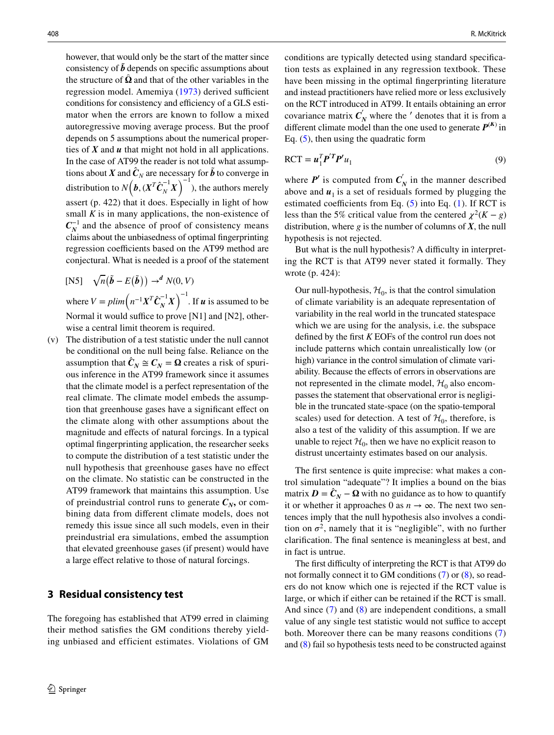however, that would only be the start of the matter since consistency of  $\tilde{b}$  depends on specific assumptions about the structure of  $\Omega$  and that of the other variables in the regression model. Amemiya [\(1973\)](#page-5-8) derived sufficient conditions for consistency and efficiency of a GLS estimator when the errors are known to follow a mixed autoregressive moving average process. But the proof depends on 5 assumptions about the numerical properties of *X* and *u* that might not hold in all applications. In the case of AT99 the reader is not told what assumptions about *X* and  $\hat{C}_N$  are necessary for  $\hat{b}$  to converge in distribution to  $N(\boldsymbol{b}, (\boldsymbol{X}^T \boldsymbol{C}_N^{-1} \boldsymbol{X})^{-1})$ , the authors merely assert (p. 422) that it does. Especially in light of how small  $K$  is in many applications, the non-existence of  $C_N^{-1}$  and the absence of proof of consistency means claims about the unbiasedness of optimal fngerprinting regression coefficients based on the AT99 method are conjectural. What is needed is a proof of the statement

[
$$
NS
$$
]  $\sqrt{n}(\tilde{b} - E(\tilde{b})) \rightarrow^d N(0, V)$   
where  $V = plim(n^{-1}X^T\hat{C}_N^{-1}X)^{-1}$ . If **u** is assumed to be  
Normal it would suffice to prove [N1] and [N2], other-

wise a central limit theorem is required. (v) The distribution of a test statistic under the null cannot be conditional on the null being false. Reliance on the assumption that  $\hat{C}_N \cong C_N = \Omega$  creates a risk of spurious inference in the AT99 framework since it assumes that the climate model is a perfect representation of the real climate. The climate model embeds the assumption that greenhouse gases have a signifcant efect on the climate along with other assumptions about the magnitude and efects of natural forcings. In a typical optimal fngerprinting application, the researcher seeks to compute the distribution of a test statistic under the null hypothesis that greenhouse gases have no efect on the climate. No statistic can be constructed in the AT99 framework that maintains this assumption. Use of preindustrial control runs to generate  $C_N$ , or combining data from diferent climate models, does not remedy this issue since all such models, even in their preindustrial era simulations, embed the assumption that elevated greenhouse gases (if present) would have a large efect relative to those of natural forcings.

#### **3 Residual consistency test**

The foregoing has established that AT99 erred in claiming their method satisfes the GM conditions thereby yielding unbiased and efficient estimates. Violations of GM conditions are typically detected using standard specifcation tests as explained in any regression textbook. These have been missing in the optimal fngerprinting literature and instead practitioners have relied more or less exclusively on the RCT introduced in AT99. It entails obtaining an error covariance matrix  $C'_N$  where the  $'$  denotes that it is from a different climate model than the one used to generate  $P^{(K)}$  in Eq.  $(5)$  $(5)$ , then using the quadratic form

$$
RCT = \boldsymbol{u}_1^T \boldsymbol{P}'^T \boldsymbol{P}' u_1 \tag{9}
$$

where  $P'$  is computed from  $C'_N$  in the manner described above and  $u_1$  is a set of residuals formed by plugging the estimated coefficients from Eq.  $(5)$  $(5)$  into Eq.  $(1)$  $(1)$ . If RCT is less than the 5% critical value from the centered  $\chi^2(K - g)$ distribution, where *g* is the number of columns of *X*, the null hypothesis is not rejected.

But what is the null hypothesis? A difficulty in interpreting the RCT is that AT99 never stated it formally. They wrote (p. 424):

Our null-hypothesis,  $\mathcal{H}_0$ , is that the control simulation of climate variability is an adequate representation of variability in the real world in the truncated statespace which we are using for the analysis, i.e. the subspace defned by the frst *K* EOFs of the control run does not include patterns which contain unrealistically low (or high) variance in the control simulation of climate variability. Because the efects of errors in observations are not represented in the climate model,  $\mathcal{H}_0$  also encompasses the statement that observational error is negligible in the truncated state-space (on the spatio-temporal scales) used for detection. A test of  $\mathcal{H}_0$ , therefore, is also a test of the validity of this assumption. If we are unable to reject  $\mathcal{H}_0$ , then we have no explicit reason to distrust uncertainty estimates based on our analysis.

The first sentence is quite imprecise: what makes a control simulation "adequate"? It implies a bound on the bias matrix  $D = \hat{C}_N - \Omega$  with no guidance as to how to quantify it or whether it approaches 0 as  $n \to \infty$ . The next two sentences imply that the null hypothesis also involves a condition on  $\sigma^2$ , namely that it is "negligible", with no further clarifcation. The fnal sentence is meaningless at best, and in fact is untrue.

The first difficulty of interpreting the RCT is that AT99 do not formally connect it to GM conditions ([7\)](#page-2-3) or [\(8](#page-2-4)), so readers do not know which one is rejected if the RCT value is large, or which if either can be retained if the RCT is small. And since ([7](#page-2-3)) and ([8\)](#page-2-4) are independent conditions, a small value of any single test statistic would not suffice to accept both. Moreover there can be many reasons conditions ([7\)](#page-2-3) and ([8\)](#page-2-4) fail so hypothesis tests need to be constructed against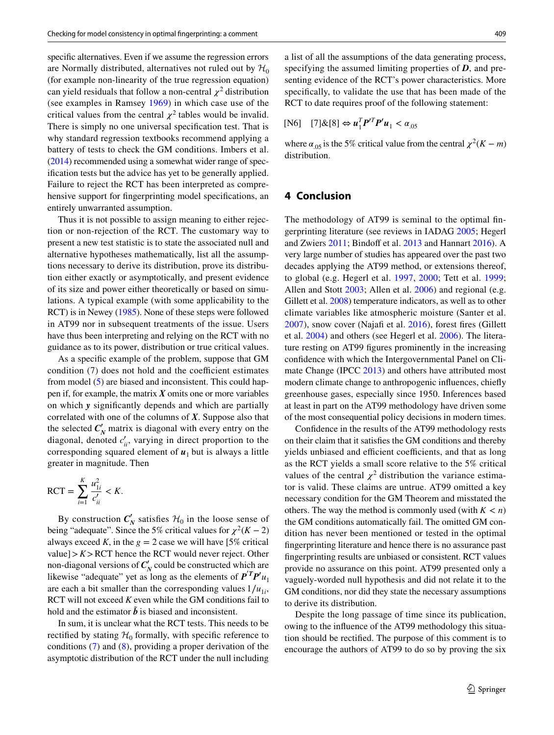specifc alternatives. Even if we assume the regression errors are Normally distributed, alternatives not ruled out by  $\mathcal{H}_0$ (for example non-linearity of the true regression equation) can yield residuals that follow a non-central  $\chi^2$  distribution (see examples in Ramsey [1969\)](#page-5-9) in which case use of the critical values from the central  $\chi^2$  tables would be invalid. There is simply no one universal specifcation test. That is why standard regression textbooks recommend applying a battery of tests to check the GM conditions. Imbers et al. [\(2014](#page-5-10)) recommended using a somewhat wider range of specifcation tests but the advice has yet to be generally applied. Failure to reject the RCT has been interpreted as comprehensive support for fngerprinting model specifcations, an entirely unwarranted assumption.

Thus it is not possible to assign meaning to either rejection or non-rejection of the RCT. The customary way to present a new test statistic is to state the associated null and alternative hypotheses mathematically, list all the assumptions necessary to derive its distribution, prove its distribution either exactly or asymptotically, and present evidence of its size and power either theoretically or based on simulations. A typical example (with some applicability to the RCT) is in Newey [\(1985\)](#page-5-11). None of these steps were followed in AT99 nor in subsequent treatments of the issue. Users have thus been interpreting and relying on the RCT with no guidance as to its power, distribution or true critical values.

As a specifc example of the problem, suppose that GM condition  $(7)$  does not hold and the coefficient estimates from model ([5\)](#page-1-6) are biased and inconsistent. This could happen if, for example, the matrix *X* omits one or more variables on which *y* signifcantly depends and which are partially correlated with one of the columns of *X*. Suppose also that the selected  $C'_N$  matrix is diagonal with every entry on the diagonal, denoted  $c'_{ii}$ , varying in direct proportion to the corresponding squared element of  $u_1$  but is always a little greater in magnitude. Then

$$
RCT = \sum_{i=1}^{K} \frac{u_{1i}^2}{c'_{ii}} < K.
$$

By construction  $C'_N$  satisfies  $\mathcal{H}_0$  in the loose sense of being "adequate". Since the 5% critical values for  $\chi^2(K-2)$ always exceed *K*, in the  $g = 2$  case we will have [5% critical value] $> K$  $>$ RCT hence the RCT would never reject. Other non-diagonal versions of  $C'_N$  could be constructed which are likewise "adequate" yet as long as the elements of  $P^T P' u_1$ are each a bit smaller than the corresponding values  $1/u_{1i}$ , RCT will not exceed *K* even while the GM conditions fail to hold and the estimator  $\tilde{b}$  is biased and inconsistent.

In sum, it is unclear what the RCT tests. This needs to be rectified by stating  $H_0$  formally, with specific reference to conditions [\(7](#page-2-3)) and ([8\)](#page-2-4), providing a proper derivation of the asymptotic distribution of the RCT under the null including

a list of all the assumptions of the data generating process, specifying the assumed limiting properties of *D*, and presenting evidence of the RCT's power characteristics. More specifcally, to validate the use that has been made of the RCT to date requires proof of the following statement:

$$
[\text{N6}] \quad [7] \& [8] \Leftrightarrow u_1^T P^{\prime T} P^{\prime} u_1 < \alpha_{.05}
$$

where  $\alpha_{.05}$  is the 5% critical value from the central  $\chi^2(K - m)$ distribution.

#### **4 Conclusion**

The methodology of AT99 is seminal to the optimal fngerprinting literature (see reviews in IADAG [2005](#page-5-12); Hegerl and Zwiers [2011](#page-5-2); Bindoff et al. [2013](#page-5-13) and Hannart [2016\)](#page-5-5). A very large number of studies has appeared over the past two decades applying the AT99 method, or extensions thereof, to global (e.g. Hegerl et al. [1997](#page-5-14), [2000](#page-5-15); Tett et al. [1999](#page-6-2); Allen and Stott [2003;](#page-5-1) Allen et al. [2006](#page-5-16)) and regional (e.g. Gillett et al. [2008\)](#page-5-17) temperature indicators, as well as to other climate variables like atmospheric moisture (Santer et al. [2007\)](#page-6-3), snow cover (Najaf et al. [2016](#page-5-18)), forest fres (Gillett et al. [2004](#page-5-19)) and others (see Hegerl et al. [2006\)](#page-5-20). The literature resting on AT99 fgures prominently in the increasing confdence with which the Intergovernmental Panel on Climate Change (IPCC [2013\)](#page-5-21) and others have attributed most modern climate change to anthropogenic infuences, chiefy greenhouse gases, especially since 1950. Inferences based at least in part on the AT99 methodology have driven some of the most consequential policy decisions in modern times.

Confdence in the results of the AT99 methodology rests on their claim that it satisfes the GM conditions and thereby yields unbiased and efficient coefficients, and that as long as the RCT yields a small score relative to the 5% critical values of the central  $\chi^2$  distribution the variance estimator is valid. These claims are untrue. AT99 omitted a key necessary condition for the GM Theorem and misstated the others. The way the method is commonly used (with  $K < n$ ) the GM conditions automatically fail. The omitted GM condition has never been mentioned or tested in the optimal fngerprinting literature and hence there is no assurance past fngerprinting results are unbiased or consistent. RCT values provide no assurance on this point. AT99 presented only a vaguely-worded null hypothesis and did not relate it to the GM conditions, nor did they state the necessary assumptions to derive its distribution.

Despite the long passage of time since its publication, owing to the infuence of the AT99 methodology this situation should be rectifed. The purpose of this comment is to encourage the authors of AT99 to do so by proving the six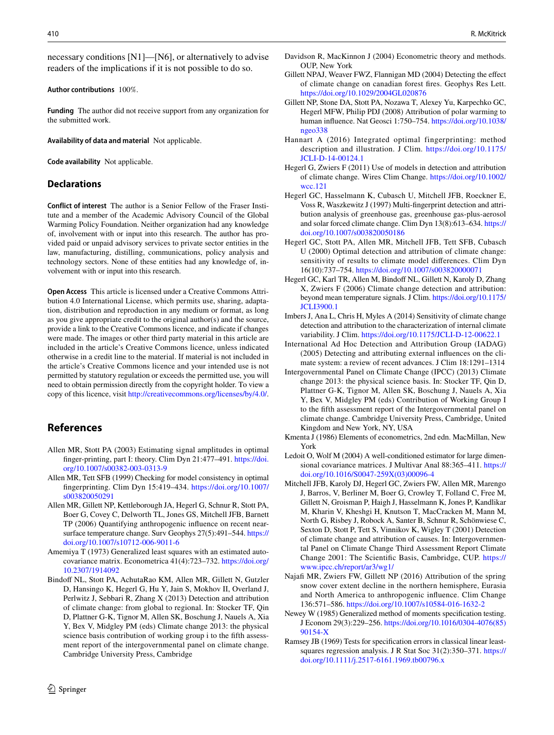necessary conditions [N1]—[N6], or alternatively to advise readers of the implications if it is not possible to do so.

#### **Author contributions** 100%.

**Funding** The author did not receive support from any organization for the submitted work.

**Availability of data and material** Not applicable.

**Code availability** Not applicable.

#### **Declarations**

**Conflict of interest** The author is a Senior Fellow of the Fraser Institute and a member of the Academic Advisory Council of the Global Warming Policy Foundation. Neither organization had any knowledge of, involvement with or input into this research. The author has provided paid or unpaid advisory services to private sector entities in the law, manufacturing, distilling, communications, policy analysis and technology sectors. None of these entities had any knowledge of, involvement with or input into this research.

**Open Access** This article is licensed under a Creative Commons Attribution 4.0 International License, which permits use, sharing, adaptation, distribution and reproduction in any medium or format, as long as you give appropriate credit to the original author(s) and the source, provide a link to the Creative Commons licence, and indicate if changes were made. The images or other third party material in this article are included in the article's Creative Commons licence, unless indicated otherwise in a credit line to the material. If material is not included in the article's Creative Commons licence and your intended use is not permitted by statutory regulation or exceeds the permitted use, you will need to obtain permission directly from the copyright holder. To view a copy of this licence, visit <http://creativecommons.org/licenses/by/4.0/>.

## **References**

- <span id="page-5-1"></span>Allen MR, Stott PA (2003) Estimating signal amplitudes in optimal fnger-printing, part I: theory. Clim Dyn 21:477–491. [https://doi.](https://doi.org/10.1007/s00382-003-0313-9) [org/10.1007/s00382-003-0313-9](https://doi.org/10.1007/s00382-003-0313-9)
- <span id="page-5-0"></span>Allen MR, Tett SFB (1999) Checking for model consistency in optimal fngerprinting. Clim Dyn 15:419–434. [https://doi.org/10.1007/](https://doi.org/10.1007/s003820050291) [s003820050291](https://doi.org/10.1007/s003820050291)
- <span id="page-5-16"></span>Allen MR, Gillett NP, Kettleborough JA, Hegerl G, Schnur R, Stott PA, Boer G, Covey C, Delworth TL, Jones GS, Mitchell JFB, Barnett TP (2006) Quantifying anthropogenic infuence on recent nearsurface temperature change. Surv Geophys 27(5):491–544. [https://](https://doi.org/10.1007/s10712-006-9011-6) [doi.org/10.1007/s10712-006-9011-6](https://doi.org/10.1007/s10712-006-9011-6)
- <span id="page-5-8"></span>Amemiya T (1973) Generalized least squares with an estimated autocovariance matrix. Econometrica 41(4):723–732. [https://doi.org/](https://doi.org/10.2307/1914092) [10.2307/1914092](https://doi.org/10.2307/1914092)
- <span id="page-5-13"></span>Bindoff NL, Stott PA, AchutaRao KM, Allen MR, Gillett N, Gutzler D, Hansingo K, Hegerl G, Hu Y, Jain S, Mokhov II, Overland J, Perlwitz J, Sebbari R, Zhang X (2013) Detection and attribution of climate change: from global to regional. In: Stocker TF, Qin D, Plattner G-K, Tignor M, Allen SK, Boschung J, Nauels A, Xia Y, Bex V, Midgley PM (eds) Climate change 2013: the physical science basis contribution of working group i to the ffth assessment report of the intergovernmental panel on climate change. Cambridge University Press, Cambridge
- <span id="page-5-4"></span>Davidson R, MacKinnon J (2004) Econometric theory and methods. OUP, New York
- <span id="page-5-19"></span>Gillett NPAJ, Weaver FWZ, Flannigan MD (2004) Detecting the efect of climate change on canadian forest fres. Geophys Res Lett. <https://doi.org/10.1029/2004GL020876>
- <span id="page-5-17"></span>Gillett NP, Stone DA, Stott PA, Nozawa T, Alexey Yu, Karpechko GC, Hegerl MFW, Philip PDJ (2008) Attribution of polar warming to human infuence. Nat Geosci 1:750–754. [https://doi.org/10.1038/](https://doi.org/10.1038/ngeo338) [ngeo338](https://doi.org/10.1038/ngeo338)
- <span id="page-5-5"></span>Hannart A (2016) Integrated optimal fingerprinting: method description and illustration. J Clim. [https://doi.org/10.1175/](https://doi.org/10.1175/JCLI-D-14-00124.1) [JCLI-D-14-00124.1](https://doi.org/10.1175/JCLI-D-14-00124.1)
- <span id="page-5-2"></span>Hegerl G, Zwiers F (2011) Use of models in detection and attribution of climate change. Wires Clim Change. [https://doi.org/10.1002/](https://doi.org/10.1002/wcc.121) [wcc.121](https://doi.org/10.1002/wcc.121)
- <span id="page-5-14"></span>Hegerl GC, Hasselmann K, Cubasch U, Mitchell JFB, Roeckner E, Voss R, Waszkewitz J (1997) Multi-fngerprint detection and attribution analysis of greenhouse gas, greenhouse gas-plus-aerosol and solar forced climate change. Clim Dyn 13(8):613–634. [https://](https://doi.org/10.1007/s003820050186) [doi.org/10.1007/s003820050186](https://doi.org/10.1007/s003820050186)
- <span id="page-5-15"></span>Hegerl GC, Stott PA, Allen MR, Mitchell JFB, Tett SFB, Cubasch U (2000) Optimal detection and attribution of climate change: sensitivity of results to climate model diferences. Clim Dyn 16(10):737–754. <https://doi.org/10.1007/s003820000071>
- <span id="page-5-20"></span>Hegerl GC, Karl TR, Allen M, Bindoff NL, Gillett N, Karoly D, Zhang X, Zwiers F (2006) Climate change detection and attribution: beyond mean temperature signals. J Clim. [https://doi.org/10.1175/](https://doi.org/10.1175/JCLI3900.1) **[JCLI3900.1](https://doi.org/10.1175/JCLI3900.1)**
- <span id="page-5-10"></span>Imbers J, Ana L, Chris H, Myles A (2014) Sensitivity of climate change detection and attribution to the characterization of internal climate variability. J Clim. <https://doi.org/10.1175/JCLI-D-12-00622.1>
- <span id="page-5-12"></span>International Ad Hoc Detection and Attribution Group (IADAG) (2005) Detecting and attributing external infuences on the climate system: a review of recent advances. J Clim 18:1291–1314
- <span id="page-5-21"></span>Intergovernmental Panel on Climate Change (IPCC) (2013) Climate change 2013: the physical science basis. In: Stocker TF, Qin D, Plattner G-K, Tignor M, Allen SK, Boschung J, Nauels A, Xia Y, Bex V, Midgley PM (eds) Contribution of Working Group I to the ffth assessment report of the Intergovernmental panel on climate change. Cambridge University Press, Cambridge, United Kingdom and New York, NY, USA
- <span id="page-5-6"></span>Kmenta J (1986) Elements of econometrics, 2nd edn. MacMillan, New York
- <span id="page-5-7"></span>Ledoit O, Wolf M (2004) A well-conditioned estimator for large dimensional covariance matrices. J Multivar Anal 88:365–411. [https://](https://doi.org/10.1016/S0047-259X(03)00096-4) [doi.org/10.1016/S0047-259X\(03\)00096-4](https://doi.org/10.1016/S0047-259X(03)00096-4)
- <span id="page-5-3"></span>Mitchell JFB, Karoly DJ, Hegerl GC, Zwiers FW, Allen MR, Marengo J, Barros, V, Berliner M, Boer G, Crowley T, Folland C, Free M, Gillett N, Groisman P, Haigh J, Hasselmann K, Jones P, Kandlikar M, Kharin V, Kheshgi H, Knutson T, MacCracken M, Mann M, North G, Risbey J, Robock A, Santer B, Schnur R, Schönwiese C, Sexton D, Stott P, Tett S, Vinnikov K, Wigley T (2001) Detection of climate change and attribution of causes. In: Intergovernmental Panel on Climate Change Third Assessment Report Climate Change 2001: The Scientifc Basis, Cambridge, CUP. [https://](https://www.ipcc.ch/report/ar3/wg1/) [www.ipcc.ch/report/ar3/wg1/](https://www.ipcc.ch/report/ar3/wg1/)
- <span id="page-5-18"></span>Najafi MR, Zwiers FW, Gillett NP (2016) Attribution of the spring snow cover extent decline in the northern hemisphere, Eurasia and North America to anthropogenic infuence. Clim Change 136:571–586. <https://doi.org/10.1007/s10584-016-1632-2>
- <span id="page-5-11"></span>Newey W (1985) Generalized method of moments specifcation testing. J Econom 29(3):229–256. [https://doi.org/10.1016/0304-4076\(85\)](https://doi.org/10.1016/0304-4076(85)90154-X) [90154-X](https://doi.org/10.1016/0304-4076(85)90154-X)
- <span id="page-5-9"></span>Ramsey JB (1969) Tests for specifcation errors in classical linear leastsquares regression analysis. J R Stat Soc 31(2):350–371. [https://](https://doi.org/10.1111/j.2517-6161.1969.tb00796.x) [doi.org/10.1111/j.2517-6161.1969.tb00796.x](https://doi.org/10.1111/j.2517-6161.1969.tb00796.x)